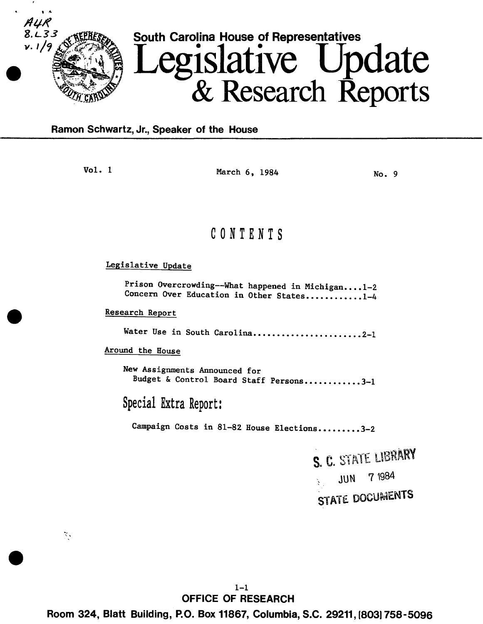

### **Ramon Schwartz, Jr., Speaker of the House**

Vol. 1 March 6, 1984 No. 9

# C 0 N T E N T S

### Legislative Update

Prison Overcrowding--What happened in Michigan....1-2 Concern Over Education in Other States...........1-4

Research Report

Water Use in South Carolina......................2-1

Around the House

New Assignments Announced for Budget & Control Board Staff Persons............3-1

Special Extra Report:

Campaign Costs in 81-82 House Elections.........3-2

S. C. STATE LIBRARY JUN 7 1984 STATE DOCUMENTS

., •.'

1-1 **OFFICE OF RESEARCH** 

**Room 324, Blatt Building, P.O. Box 11867, Columbia, S.C. 29211, (803)758-5096**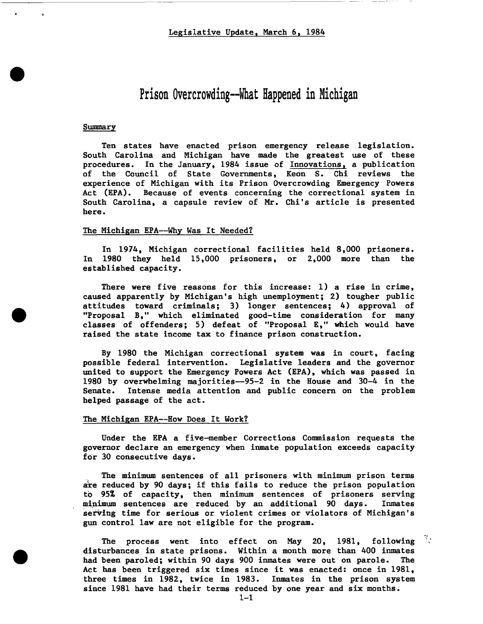# Prison Overcrowding--What Happened in Michigan

#### **Summary**

Ten states have enacted prison emergency release legislation. South Carolina and Michigan have made the greatest use of these procedures. In the January, 1984 issue of Innovations, a publication of the Council of State Governments, Keon S. Chi reviews the experience of Michigan with its Prison Overcrowding Emergency Powers Act (EPA). Because of events concerning the correctional system in South Carolina, a capsule review of Mr. Chi's article is presented here.

#### The Michigan EPA--Why Was It Needed?

In 1974, Michigan correctional facilities held 8,000 prisoners. In 1980 they held 15,000 prisoners, or 2,000 more than the established capacity.

There were five reasons for this increase: 1) a rise in crime, caused apparently by Michigan's high unemployment; 2) tougher public attitudes toward criminals; 3) longer sentences; 4) approval of "Proposal B," which eliminated good-time consideration for many classes of offenders; 5) defeat of "Proposal E," which would have raised the state income tax to finance prison construction.

By 1980 the Michigan correctional system was in court, facing possible federal intervention. Legislative leaders and the governor united to support the Emergency Powers Act (EPA), which was passed in 1980 by overwhelming majorities-95-2 in the House and 30-4 in the Senate. Intense media attention and public concern on the problem helped passage of the act.

### The Michigan EPA--How Does It Work?

Under the EPA a five-member Corrections Commission requests the governor declare an emergency when inmate population exceeds capacity for 30 consecutive days.

The minimum sentences of all prisoners with minimum prison terms are reduced by 90 days; if this fails to reduce the prison population to 95% of capacity, then minimum sentences of prisoners serving minimum sentences are reduced by an additional 90 days. Inmates serving time for serious or violent crimes or violators of Michigan's gun control law are not eligible for the program.

The process went into effect on May 20, 1981, following disturbances in state prisons. Within a month more than 400 inmates had been paroled; within 90 days 900 inmates were out on parole. The Act has been triggered six times since it was enacted: once in 1981, three times in 1982, twice in 1983. Inmates in the prison system since 1981 have had their terms reduced by one year and six months.  $\frac{1}{2}$ .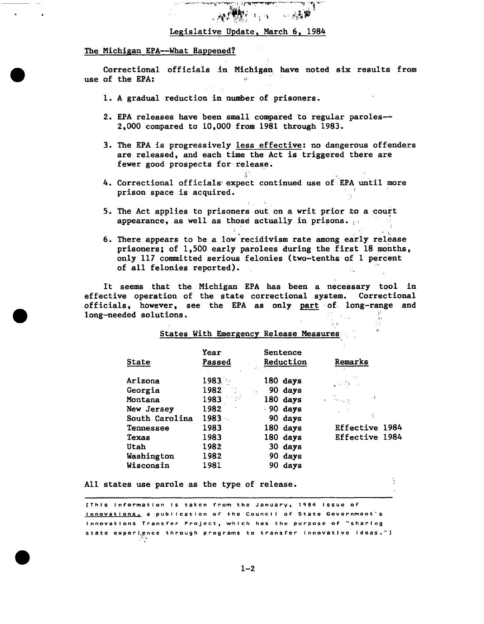## **柳颜** 1. 1. Legislative Update, March 6, 1984

 $\label{eq:4} \begin{array}{ll} \mathcal{L}_{\mathcal{A}}\mathcal{L}_{\mathcal{A}}\mathcal{L}_{\mathcal{B}}\mathcal{L}_{\mathcal{B}}\mathcal{L}_{\mathcal{B}}\mathcal{L}_{\mathcal{B}}\mathcal{L}_{\mathcal{B}}\mathcal{L}_{\mathcal{B}}\mathcal{L}_{\mathcal{B}}\mathcal{L}_{\mathcal{B}}\mathcal{L}_{\mathcal{B}}\mathcal{L}_{\mathcal{B}}\mathcal{L}_{\mathcal{B}}\mathcal{L}_{\mathcal{B}}\mathcal{L}_{\mathcal{B}}\mathcal{L}_{\mathcal{B}}\mathcal{L}_{\mathcal{B}}\math$ 

#### The Michigan EPA--What Happened?

Correctional officials in Michigan have noted six results from<br>of the FPA. use of the EPA:

- 1. A gradual reduction in number of prisoners.
- 2. EPA releases have been small compared to regular paroles-- 2,000 compared to 10,000 from 1981 through 1983.
- 3. The EPA is progressively less effective: no dangerous offenders are released, and each time the Act is triggered there are fewer good prospects for release.
- 4. Correctional officials expect continued use of EPA until more prison space is acquired.
- 5. The Act applies to prisoners out on a writ prior to a court appearance, as well as those actually in prisons.
- 6. There appears to be a low-recidivism rate among early release prisoners; of 1,500 early parolees during the first 18 months, only 117 committed serious felonies (two-tenths of 1 percent of all felonies reported).

•• ·l

It seems that the Michigan EPA has been a necessary tool in effective operation of the state correctional system. Correctional officials, however, see the EPA as only part of long-range and long-needed solutions.

States With Emergency Release Measures

| State          | Year<br>Passed | Sentence<br>Reduction | Remarks               |
|----------------|----------------|-----------------------|-----------------------|
| Arizona        | $1983 -$       | 180 days              | والمتكل فيتقدي        |
| Georgia        | 1982           | 90 days               |                       |
| Montana        | 1983           | 180 days              | ٠ż<br>المحرب المتأثر  |
| New Jersey     | 1982           | $.90$ days            |                       |
| South Carolina | 1983           | 90 days               | ŕ,                    |
| Tennessee      | 1983           | 180 days              | <b>Effective 1984</b> |
| Texas          | 1983           | 180 days              | Effective 1984        |
| Utah           | 1982           | 30 days               |                       |
| Washington     | 1982           | 90 days               |                       |
| Wisconsin      | 1981           | days<br>90.           |                       |

All states use parole as the type of release.

[This information is taken from the January, 1984 issue of Innovations, a publication of the Council of State Government's Innovations Transfer Project, which has the purpose of "sharing state experience through programs to transfer innovative ideas."]<br>  $\sum_{i=1}^{n}$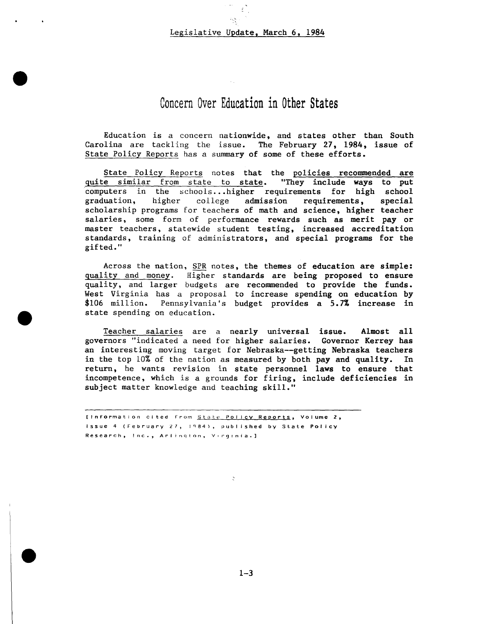### Legislative Update, March 6, 1984

## Concern Over Education in Other States

Education is a concern nationwide, and states other than South Carolina are tackling the issue. The February 27, 1984, issue of State Policy Reports has a summary of some of these efforts.

State Policy Reports notes that the policies recommended are<br>e similar from state to state. "They include ways to put quite similar from state to state. computers in the schools ..• higher requirements for high school graduation, higher college admission requirements, special scholarship programs for teachers of math and science, higher teacher salaries, some form of performance rewards such as merit pay or master teachers, statewide student testing, increased accreditation standards, training of administrators, and special programs for the gifted."

Across the nation, SPR notes, the themes of education are simple: quality and money. Higher standards are being proposed to ensure quality, and larger budgets are recommended to provide the funds. West Virginia has a proposal to increase spending on education by \$106 million. Pennsylvania's budget provides a 5.7% increase in state spending on education.

Teacher salaries are a nearly universal issue. Almost all governors "indicated a need for higher salaries. Governor Kerrey has an interesting moving target for Nebraska--getting Nebraska teachers in the top 10% of the nation as measured by both pay and quality. In return, he wants revision in state personnel laws to ensure that incompetence, which is a grounds for firing, include deficiencies in subject matter knowledge and teaching skill."

[Information cited from State Polley Reports, Volume *2,*  Issue 4 (February 27, 1984), published by State Policy Research, Inc., Arlington, Virginia.]

÷,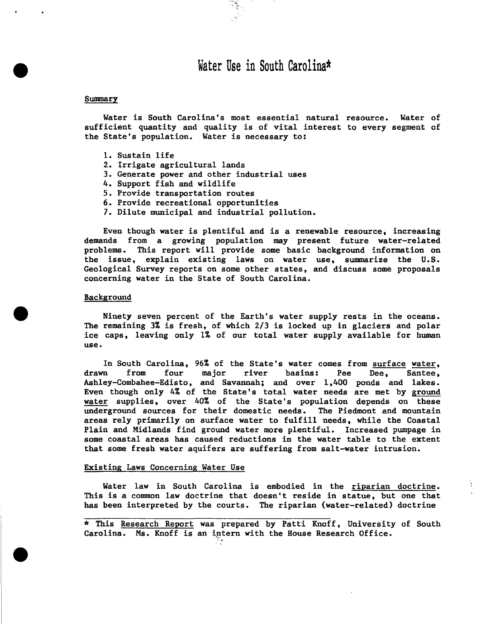## Water Use in South Carolina\*

#### Summary

Water is South Carolina's most essential natural resource. Water of sufficient quantity and quality is of vital interest to every segment of the State's population. Water is necessary to:

- 1. Sustain life
- 2. Irrigate agricultural lands
- 3. Generate power and other industrial uses
- 4. Support fish and wildlife
- 5. Provide transportation routes
- 6. Provide recreational opportunities
- 7. Dilute municipal and industrial pollution.

Even though water is plentiful and is a renewable resource, increasing demands from a growing population may present future water-related problems. This report will provide some basic background information on the issue, explain existing laws on water use, summarize the U.S. Geological Survey reports on some other states, and discuss some proposals concerning water in the State of South Carolina.

#### Background

Ninety seven percent of the Earth's water supply rests in the oceans. The remaining 3% is fresh, of which 2/3 is locked up in glaciers and polar ice caps, leaving only 1% of our total water supply available for human use.

In South Carolina, 96% of the State's water comes from surface water,<br>drawn from four major river basins: Pee Dee. Santee. drawn from four major river basins: Pee Dee, Santee, Ashley-Combahee-Edisto, and Savannah; and over  $1,400$  ponds and lakes. Even though only 4% of the State's total water needs are met by ground water supplies, over 40% of the State's population depends on these underground sources for their domestic needs. The Piedmont and mountain underground sources for their domestic needs. areas rely primarily on surface water to fulfill needs, while the Coastal Plain and Midlands find ground water more plentiful. Increased pumpage in some coastal areas has caused reductions in the water table to the extent that some fresh water aquifers are suffering from salt-water intrusion.

#### Existing Laws Concerning Water Use

Water law in South Carolina is embodied in the riparian doctrine. This is a common law doctrine that doesn't reside in statue, but one that has been interpreted by the courts. The riparian (water-related) doctrine

\* This Research Report was prepared by Patti Knoff, University of South Carolina. Ms. Knoff is an intern with the House Research Office.  $\ddot{\phantom{0}}$ ''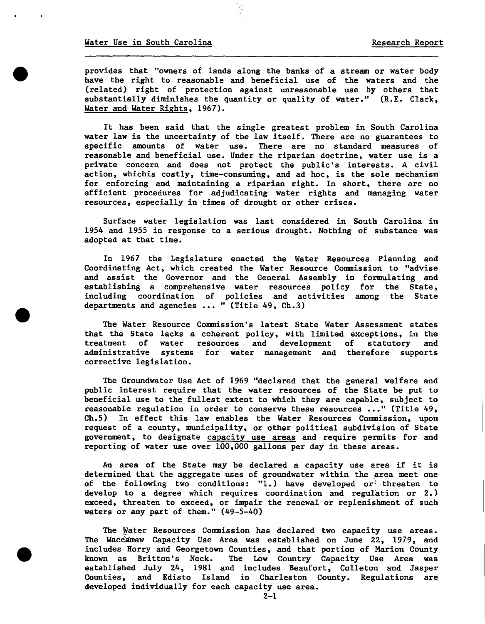provides that "owners of lands along the banks of a stream or water body have the right to reasonable and beneficial use of the waters and the (related) right of protection against unreasonable use by others that substantially diminishes the quantity or quality of water." (R.E. Clark, Water and-Water Rights, 1967).

It has been said that the single greatest problem in South Carolina water law is the uncertainty of the law itself. There are no guarantees to specific amounts of water use. There are no standard measures of reasonable and beneficial use. Under the riparian doctrine, water use is a private concern and does not protect the public's interests. A civil action, whichis costly, time-consuming, and ad hoc, is the sole mechanism for enforcing and maintaining a riparian right. In short, there are no efficient procedures for adjudicating water rights and managing water resources, especially in times of drought or other crises.

Surface water legislation was last considered in South Carolina in 1954 and 1955 in response to a serious drought. Nothing of substance was adopted at that time.

In 1967 the Legislature enacted the Water Resources Planning and Coordinating Act, which created the Water Resource Commission to "advise and assist the Governor and the General Assembly in formulating and establishing a comprehensive water resources policy for the State, including coordination of policies and activities among the State departments and agencies  $\ldots$  " (Title 49, Ch.3)

The Water Resource Commission's latest State Water Assessment states that the State lacks a coherent policy, with limited exceptions, in the treatment of water resources and development of statutory and administrative systems for water management and therefore supports corrective legislation.

The Groundwater Use Act of 1969 "declared that the general welfare and public interest require that the water resources of the State be put to beneficial use to the fullest extent to which they are capable, subject to reasonable regulation in order to conserve these resources ..." (Title 49, Ch.5) In effect this law enables the Water Resources Commission, upon request of a county, municipality, or other political subdivision of State government, to designate capacity use areas and require permits for and reporting of water use over 100,000 gallons per day in these areas.

An area of the State may be declared a capacity use area if it is determined that the aggregate uses of groundwater within the area meet one of the following two conditions:  $\overline{u}$ .) have developed or threaten to develop to a degree which requires coordination and regulation or 2.) exceed, threaten to exceed, or impair the renewal or replenishment of such waters or any part of them." (49-5-40)

The Water Resources Commission has declared two capacity use areas. The Waccamaw Capacity Use Area was established on June 22, 1979, and includes Horry and Georgetown Counties, and that portion of Marion County known as Britton's Neck. The Low Country Capacity Use Area was established July 24, 1981 and includes Beaufort, Colleton and Jasper Counties, and Edisto Island in Charleston County. Regulations are developed individually for each capacity use area.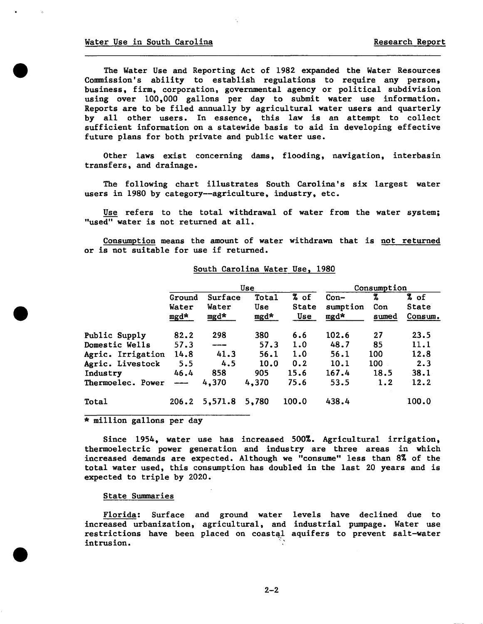The Water Use and Reporting Act of 1982 expanded the Water Resources Commission's ability to establish regulations to require any person, business, firm, corporation, governmental agency or political subdivision using over 100,000 gallons per day to submit water use information. Reports are to be filed annually by agricultural water users and quarterly by all other users. In essence, this law is an attempt to collect sufficient information on a statewide basis to aid in developing effective future plans for both private and public water use.

Other laws exist concerning dams, flooding, navigation, interbasin transfers, and drainage.

The following chart illustrates South Carolina's six largest water users in 1980 by category--agriculture, industry, etc.

Use refers to the total withdrawal of water from the water system; "used" water is not returned at all.

Consumption means the amount of water withdrawn that is not returned or is not suitable for use if returned.

| South Carolina Water Use, 1980 |  |  |
|--------------------------------|--|--|
|                                |  |  |

|                   |         |         | Use   | Consumption  |          |       |         |
|-------------------|---------|---------|-------|--------------|----------|-------|---------|
|                   | Ground  | Surface | Total | % of         | $Con-$   | 7     | % of    |
|                   | Water   | Water   | Use   | <b>State</b> | sumption | Con   | State   |
|                   | $mgd*$  | mgd*    | mgd*  | Use          | mgd*     | sumed | Consum. |
| Public Supply     | 82.2    | 298     | 380   | 6.6          | 102.6    | 27    | 23.5    |
| Domestic Wells    | 57.3    | ------  | 57.3  | 1.0          | 48.7     | 85    | 11.1    |
| Agric. Irrigation | 14.8    | 41.3    | 56.1  | 1.0          | 56.1     | 100   | 12.8    |
| Agric. Livestock  | 5.5     | 4.5     | 10.0  | 0.2          | 10.1     | 100   | 2.3     |
| Industry          | 46.4    | 858     | 905   | 15.6         | 167.4    | 18.5  | 38.1    |
| Thermoelec. Power | ------- | 4,370   | 4,370 | 75.6         | 53.5     | 1.2   | 12.2    |
| <b>Total</b>      | 206.2   | 5,571.8 | 5,780 | 100.0        | 438.4    |       | 100.0   |

\* million gallons per day

Since 1954, water use has increased 500%. Agricultural irrigation, thermoelectric power generation and industry are three areas in which increased demands are expected. Although we "consume" less than 8% of the total water used, this consumption has doubled in the last 20 years and is expected to triple by 2020.

State Summaries

Florida: Surface and ground water levels have declined due to increased urbanization, agricultural, and industrial pumpage. Water use restrictions have been placed on coastal aquifers to prevent salt-water intrusion.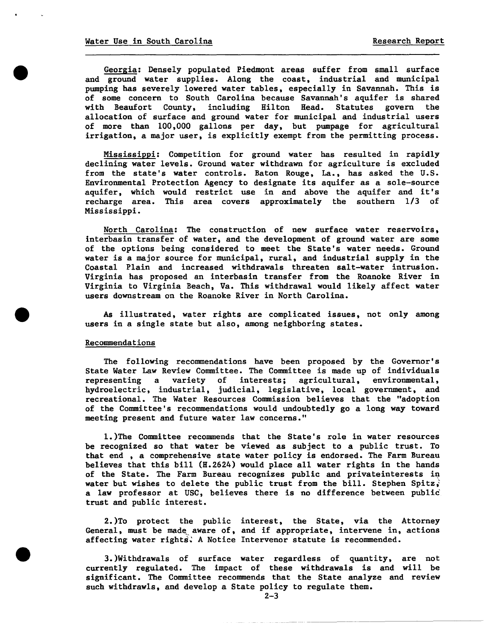Georgia: Densely populated Piedmont areas suffer from small surface and ground water supplies. Along the coast, industrial and municipal pumping has severely lowered water tables, especially in Savannah. This is of some concern to South Carolina because Savannah's aquifer is shared<br>with Beaufort County, including Hilton Head. Statutes govern the with Beaufort County, including Hilton Head. allocation of surface and ground water for municipal and industrial users of more than 100,000 gallons per day, but pumpage for agricultural irrigation, a major user, is explicitly exempt from the permitting process.

Mississippi: Competition for ground water has resulted in rapidly declining water levels. Ground water withdrawn for agriculture is excluded from the state's water controls. Baton Rouge, La., has asked the U.S. Environmental Protection Agency to designate its aquifer as a sole-source aquifer, which would restrict use in and above the aquifer and it's recharge area. This area covers approximately the southern 1/3 of Mississippi.

North Carolina: The construction of new surface water reservoirs, interbasin transfer of water, and the development of ground water are some of the options being considered to meet the State's water needs. Ground water is a major source for municipal, rural, and industrial supply in the Coastal Plain and increased withdrawals threaten salt-water intrusion. Virginia has proposed an interbasin transfer from the Roanoke River in Virginia to Virginia Beach, Va. This withdrawal would likely affect water users downstream on the Roanoke River in North Carolina.

As illustrated, water rights are complicated issues, not only among users in a single state but also, among neighboring states.

#### Recommendations

The following recommendations have been proposed by the Governor's State Water Law Review Committee. The Committee is made up of individuals representing a variety of interests; agricultural, environmental, representing a variety of interests; agricultural, hydroelectric, industrial, judicial, legislative, local government, and recreational. The Water Resources Commission believes that the "adoption of the Committee's recommendations would undoubtedly go a long way toward meeting present and future water law concerns."

1. )The Committee recommends that the State's role in water resources be recognized so that water be viewed as subject to a public trust. To that end , a comprehensive state water policy is endorsed. The Farm Bureau believes that this bill (H.2624) would place all water rights in the hands of the State. The Farm Bureau recognizes public and privateinterests in water but wishes to delete the public trust from the bill. Stephen Spitz, a law professor at USC, believes there is no difference between public' trust and public interest.

2.)To protect the public interest, the State, via the Attorney General, must be made aware of, and if appropriate, intervene in, actions affecting water rights. A Notice Intervenor statute is recommended.

3.)Withdrawals of surface water regardless of quantity, are not currently regulated. The impact of these withdrawals is and will be significant. The Committee recommends that the State analyze and review such withdrawls, and develop a State policy to regulate them.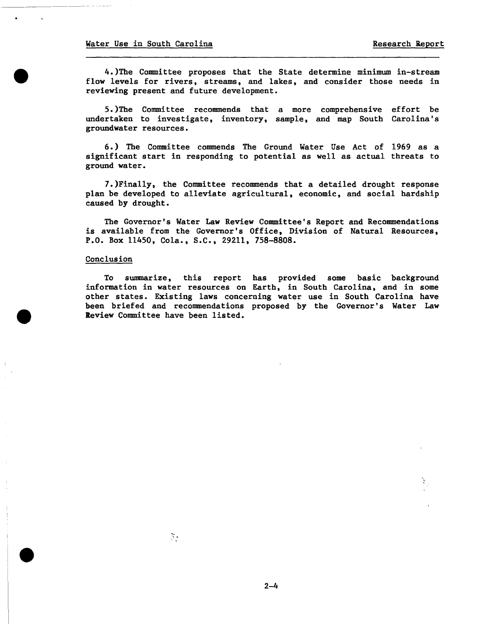4.)The Committee proposes that the State determine minimum in-stream flow levels for rivers, streams, and lakes, and consider those needs in reviewing present and future development.

5.)The Committee recommends that a more comprehensive effort be undertaken to investigate, inventory, sample, and map South Carolina's groundwater resources.

6.) The Committee commends The Ground Water Use Act of 1969 as a significant start in responding to potential as well as actual threats to ground water.

].)Finally, the Committee recommends that a detailed drought response plan be developed to alleviate agricultural, economic, and social hardship caused by drought.

The Governor's Water Law Review Committee's Report and Recommendations is available from the Governor's Office, Division of Natural Resources, P.O. Box 11450, Cola., S.C., 29211, 758-8808.

#### Conclusion

To summarize, this report has provided some basic background information in water resources on Earth, in South Carolina, and in some other states. Existing laws concerning water use in South Carolina have been briefed and recommendations proposed by the Governor's Water Law Review Committee have been listed.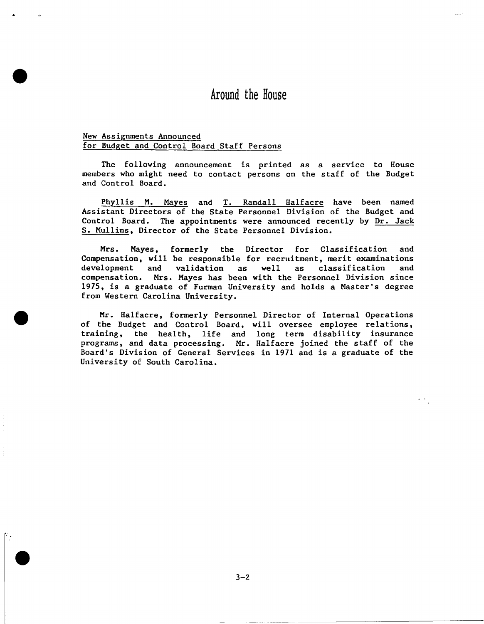## Around the House

### New Assignments Announced for Budget and Control Board Staff Persons

•

The following announcement is printed as a service to House members who might need to contact persons on the staff of the Budget and Control Board.

Phyllis M. Mayes and T. Randall Halfacre have been named Assistant Directors of the State Personnel Division of the Budget and Control Board. The appointments were announced recently by Dr. Jack S. Mullins, Director of the State Personnel Division.

Mrs. Mayes, formerly the Director for Classification and Compensation, will be responsible for recruitment, merit examinations<br>development and validation as well as classification and as well as classification compensation. Mrs. Mayes has been with the Personnel Division since 1975, is a graduate of Furman University and holds a Master's degree from Western Carolina University.

Mr. Halfacre, formerly Personnel Director of Internal Operations of the Budget and Control Board, will oversee employee relations, training, the health, life and long term disability insurance programs, and data processing. Mr. Halfacre joined the staff of the Board's Division of General Services in 1971 and is a graduate of the University of South Carolina.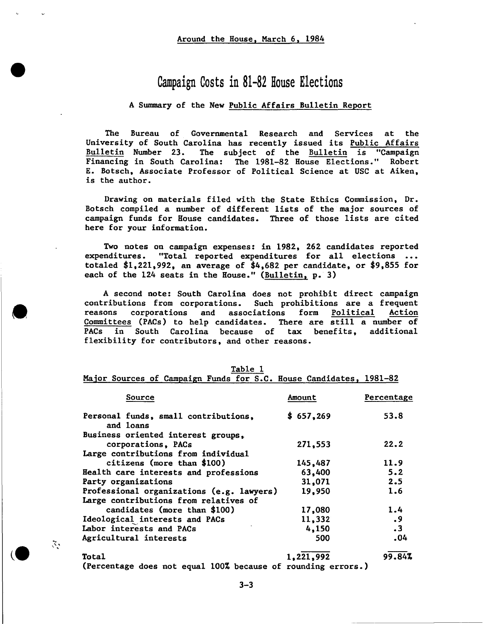## Campaign Costs in 81-82 House Elections

### A Summary of the New Public Affairs Bulletin Report

The Bureau of Governmental Research and Services at the University of South Carolina has recently issued its Public Affairs<br>Bulletin Number 23. The subject of the Bulletin is "Campaign The subject of the Bulletin is "Campaign Financing in South Carolina: The 1981-82 House Elections." Robert E. Botsch, Associate Professor of Political Science at USC at Aiken, is the author.

Drawing on materials filed with the State Ethics Commission, Dr. Botsch compiled a number of different lists of the major sources of campaign funds for House candidates. Three of those lists are cited here for your information.

Two notes on campaign expenses: in 1982, 262 candidates reported expenditures. "Total reported expenditures for all elections totaled \$1,221,992, an average of \$4,682 per candidate, or \$9,855 for each of the 124 seats in the House." (Bulletin, p. 3)

A second note: South Carolina does not prohibit direct campaign contributions from corporations. Such prohibitions are a frequent reasons corporations and associations form Political Action<br>Committees (PACs) to help candidates. There are still a number of Committees (PACs) to help candidates. PACs in South Carolina because of tax benefits, additional flexibility for contributors, and other reasons.

|                                                                    |  | Table 1 |  |  |
|--------------------------------------------------------------------|--|---------|--|--|
| Major Sources of Campaign Funds for S.C. House Candidates, 1981-82 |  |         |  |  |

| Source                                                       | Amount    | Percentage |
|--------------------------------------------------------------|-----------|------------|
| Personal funds, small contributions,<br>and loans            | \$657,269 | 53.8       |
| Business oriented interest groups,                           |           |            |
| corporations, PACs                                           | 271,553   | 22.2       |
| Large contributions from individual                          |           |            |
| citizens (more than \$100)                                   | 145,487   | 11.9       |
| Health care interests and professions                        | 63,400    | 5.2        |
| Party organizations                                          | 31,071    | 2.5        |
| Professional organizations (e.g. lawyers)                    | 19,950    | 1.6        |
| Large contributions from relatives of                        |           |            |
| candidates (more than \$100)                                 | 17,080    | 1.4        |
| Ideological interests and PACs                               | 11,332    | .9         |
| Labor interests and PACs                                     | 4,150     | $\cdot$ 3  |
| Agricultural interests                                       | 500       | .04        |
| Total                                                        | 1,221,992 | 99.84%     |
| (Percentage does not equal 100% because of rounding errors.) |           |            |

 $\mathcal{L}$  .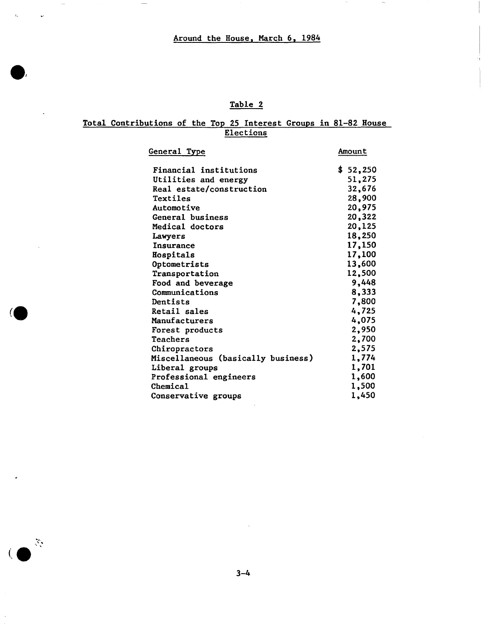$\mathcal{L}^{\text{max}}_{\text{max}}$ 

 $\overline{a}$ 

 $\sim$   $-$ 

 $\overline{\phantom{a}}$ 

 $(\mathcal{N}, \mathcal{N})$ 

## Table 2

### Total Contributions of the Top 25 Interest Groups in 81-82 House **Elections**

| General Type                       | Amount   |
|------------------------------------|----------|
| Financial institutions             | \$52,250 |
| Utilities and energy               | 51,275   |
| Real estate/construction           | 32,676   |
| Textiles                           | 28,900   |
| Automotive                         | 20,975   |
| General business                   | 20,322   |
| Medical doctors                    | 20,125   |
| Lawyers                            | 18,250   |
| Insurance                          | 17,150   |
| Hospitals                          | 17,100   |
| Optometrists                       | 13,600   |
| Transportation                     | 12,500   |
| Food and beverage                  | 9,448    |
| Communications                     | 8,333    |
| Dentists                           | 7,800    |
| Retail sales                       | 4,725    |
| Manufacturers                      | 4,075    |
| Forest products                    | 2,950    |
| Teachers                           | 2,700    |
| Chiropractors                      | 2,575    |
| Miscellaneous (basically business) | 1,774    |
| Liberal groups                     | 1,701    |
| Professional engineers             | 1,600    |
| Chemical                           | 1,500    |
| Conservative groups                | 1,450    |

 $3 - 4$